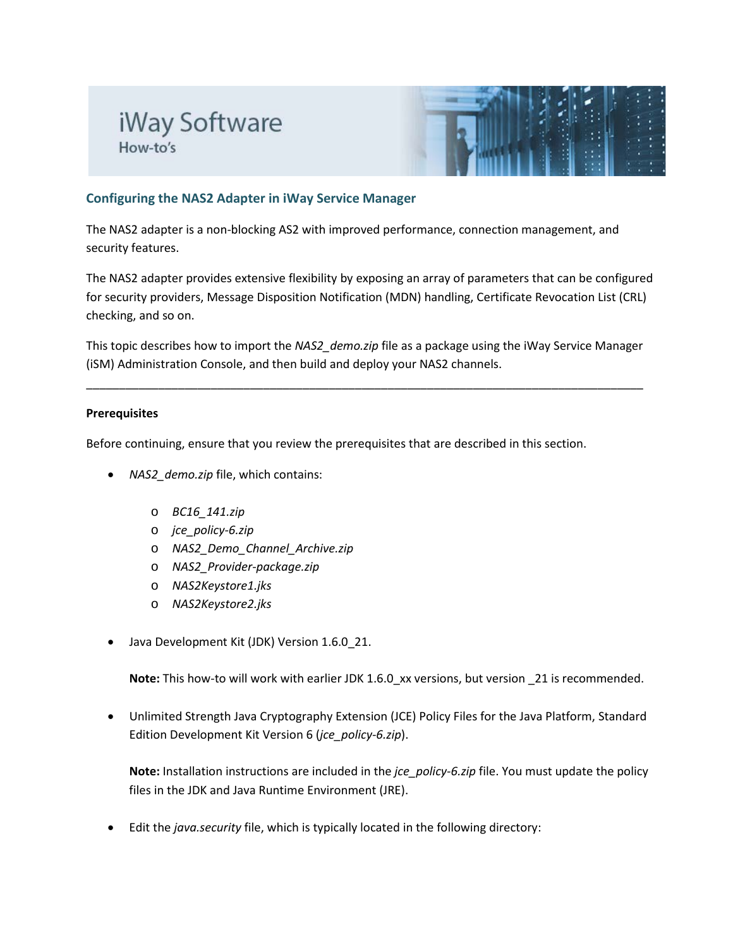# iWay Software How-to's



# **Configuring the NAS2 Adapter in iWay Service Manager**

The NAS2 adapter is a non-blocking AS2 with improved performance, connection management, and security features.

The NAS2 adapter provides extensive flexibility by exposing an array of parameters that can be configured for security providers, Message Disposition Notification (MDN) handling, Certificate Revocation List (CRL) checking, and so on.

This topic describes how to import the *NAS2\_demo.zip* file as a package using the iWay Service Manager (iSM) Administration Console, and then build and deploy your NAS2 channels.

\_\_\_\_\_\_\_\_\_\_\_\_\_\_\_\_\_\_\_\_\_\_\_\_\_\_\_\_\_\_\_\_\_\_\_\_\_\_\_\_\_\_\_\_\_\_\_\_\_\_\_\_\_\_\_\_\_\_\_\_\_\_\_\_\_\_\_\_\_\_\_\_\_\_\_\_\_\_\_\_\_\_\_\_\_

### **Prerequisites**

Before continuing, ensure that you review the prerequisites that are described in this section.

- *NAS2\_demo.zip* file, which contains:
	- o *BC16\_141.zip*
	- o *jce\_policy-6.zip*
	- o *NAS2\_Demo\_Channel\_Archive.zip*
	- o *NAS2\_Provider-package.zip*
	- o *NAS2Keystore1.jks*
	- o *NAS2Keystore2.jks*
- Java Development Kit (JDK) Version 1.6.0 21.

**Note:** This how-to will work with earlier JDK 1.6.0\_xx versions, but version \_21 is recommended.

• Unlimited Strength Java Cryptography Extension (JCE) Policy Files for the Java Platform, Standard Edition Development Kit Version 6 (*jce\_policy-6.zip*).

**Note:** Installation instructions are included in the *jce\_policy-6.zip* file. You must update the policy files in the JDK and Java Runtime Environment (JRE).

• Edit the *java.security* file, which is typically located in the following directory: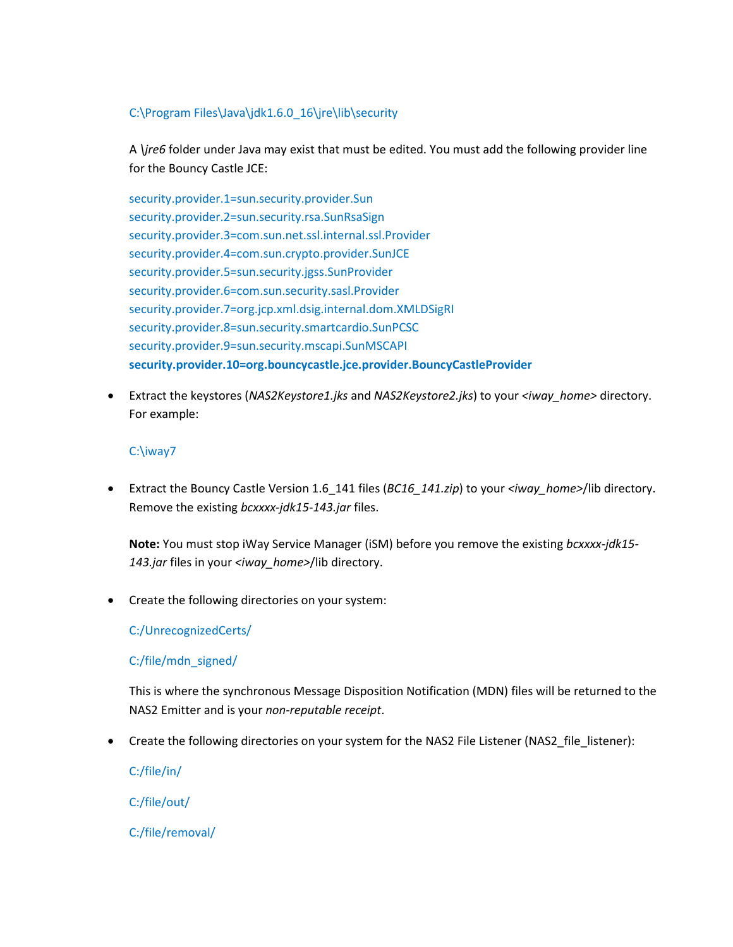# C:\Program Files\Java\jdk1.6.0\_16\jre\lib\security

A *\jre6* folder under Java may exist that must be edited. You must add the following provider line for the Bouncy Castle JCE:

security.provider.1=sun.security.provider.Sun security.provider.2=sun.security.rsa.SunRsaSign security.provider.3=com.sun.net.ssl.internal.ssl.Provider security.provider.4=com.sun.crypto.provider.SunJCE security.provider.5=sun.security.jgss.SunProvider security.provider.6=com.sun.security.sasl.Provider security.provider.7=org.jcp.xml.dsig.internal.dom.XMLDSigRI security.provider.8=sun.security.smartcardio.SunPCSC security.provider.9=sun.security.mscapi.SunMSCAPI **security.provider.10=org.bouncycastle.jce.provider.BouncyCastleProvider**

• Extract the keystores (*NAS2Keystore1.jks* and *NAS2Keystore2.jks*) to your *<iway\_home>* directory. For example:

# C:\iway7

• Extract the Bouncy Castle Version 1.6\_141 files (*BC16\_141.zip*) to your *<iway\_home>*/lib directory. Remove the existing *bcxxxx-jdk15-143.jar* files.

**Note:** You must stop iWay Service Manager (iSM) before you remove the existing *bcxxxx-jdk15- 143.jar* files in your *<iway\_home>*/lib directory.

• Create the following directories on your system:

C:/UnrecognizedCerts/

C:/file/mdn\_signed/

This is where the synchronous Message Disposition Notification (MDN) files will be returned to the NAS2 Emitter and is your *non-reputable receipt*.

• Create the following directories on your system for the NAS2 File Listener (NAS2 file listener):

C:/file/in/

C:/file/out/

C:/file/removal/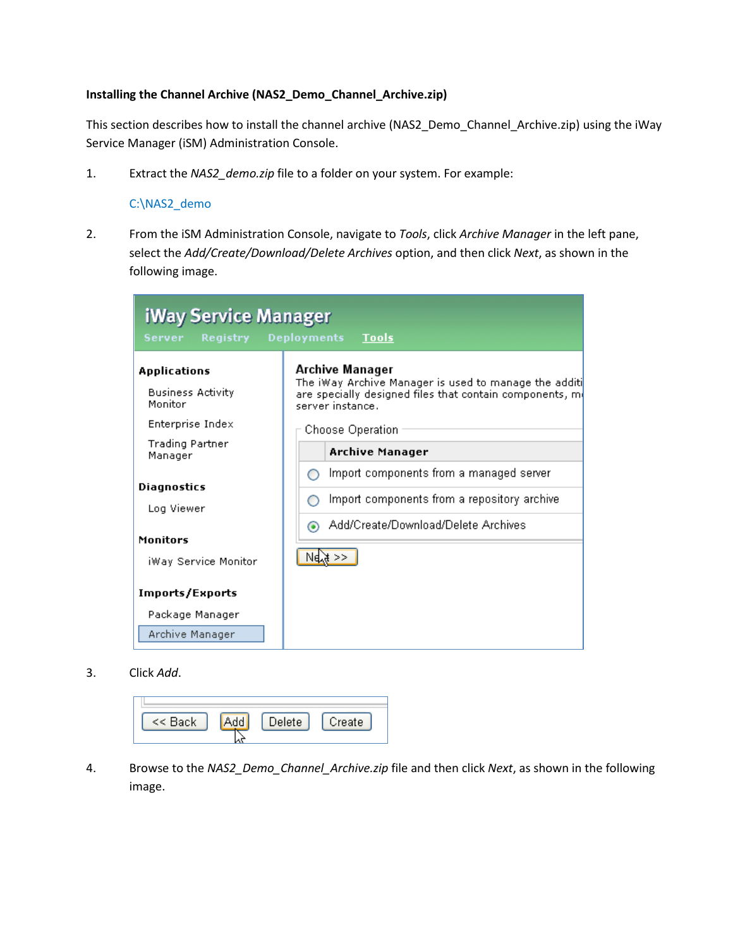#### **Installing the Channel Archive (NAS2\_Demo\_Channel\_Archive.zip)**

This section describes how to install the channel archive (NAS2\_Demo\_Channel\_Archive.zip) using the iWay Service Manager (iSM) Administration Console.

1. Extract the *NAS2\_demo.zip* file to a folder on your system. For example:

#### C:\NAS2\_demo

2. From the iSM Administration Console, navigate to *Tools*, click *Archive Manager* in the left pane, select the *Add/Create/Download/Delete Archives* option, and then click *Next*, as shown in the following image.

| iWay Service Manager<br>Server<br><b>Registry</b>                       | <b>Deployments</b><br><b>Tools</b>                                                                                                                                           |
|-------------------------------------------------------------------------|------------------------------------------------------------------------------------------------------------------------------------------------------------------------------|
| Applications<br><b>Business Activity</b><br>Monitor<br>Enterprise Index | Archive Manager<br>The iWay Archive Manager is used to manage the additi<br>are specially designed files that contain components, m(<br>server instance.<br>Choose Operation |
| Trading Partner<br>Manager                                              | <b>Archive Manager</b>                                                                                                                                                       |
| Diagnostics<br>Log Viewer                                               | Import components from a managed server<br>Import components from a repository archive<br>Add/Create/Download/Delete Archives<br>⊙                                           |
| <b>Monitors</b><br>iWay Service Monitor                                 | NelX >>                                                                                                                                                                      |
| Imports/Exports                                                         |                                                                                                                                                                              |
| Package Manager<br>Archive Manager                                      |                                                                                                                                                                              |

3. Click *Add*.

| << Back | elete | Dreate |
|---------|-------|--------|
|         |       |        |

4. Browse to the *NAS2\_Demo\_Channel\_Archive.zip* file and then click *Next*, as shown in the following image.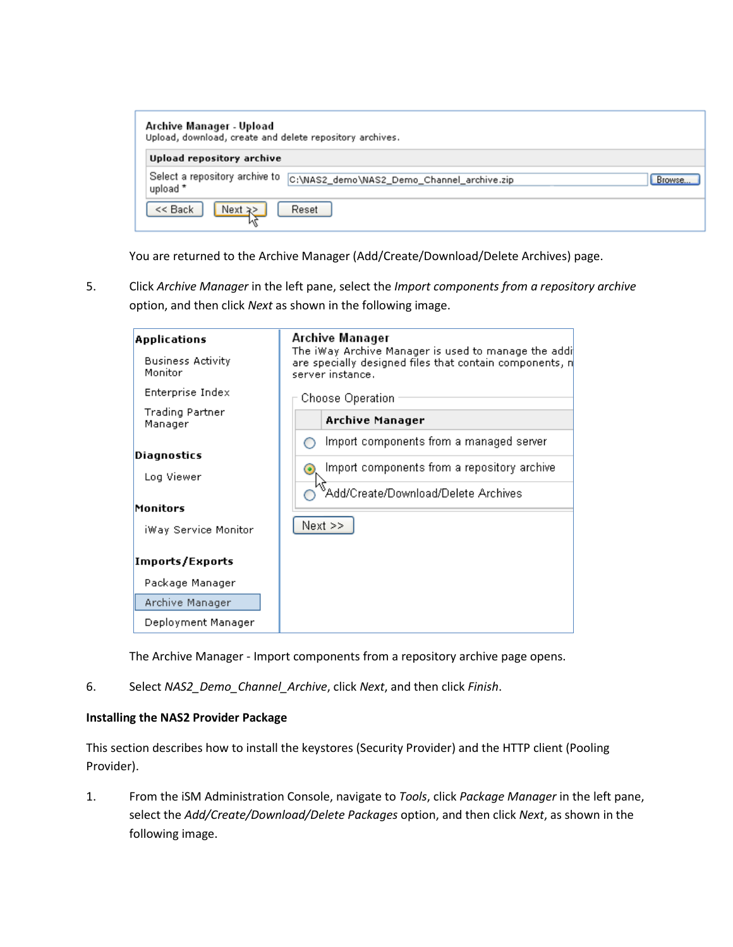| Archive Manager - Upload<br>Upload, download, create and delete repository archives. |                                                      |
|--------------------------------------------------------------------------------------|------------------------------------------------------|
| Upload repository archive                                                            |                                                      |
| Select a repository archive to<br>upload *                                           | C:\NAS2_demo\NAS2_Demo_Channel_archive.zip<br>Browse |
| $<<$ Back<br>Next $\ge$                                                              | Reset                                                |

You are returned to the Archive Manager (Add/Create/Download/Delete Archives) page.

5. Click *Archive Manager* in the left pane, select the *Import components from a repository archive* option, and then click *Next* as shown in the following image.



The Archive Manager - Import components from a repository archive page opens.

6. Select *NAS2\_Demo\_Channel\_Archive*, click *Next*, and then click *Finish*.

#### **Installing the NAS2 Provider Package**

This section describes how to install the keystores (Security Provider) and the HTTP client (Pooling Provider).

1. From the iSM Administration Console, navigate to *Tools*, click *Package Manager* in the left pane, select the *Add/Create/Download/Delete Packages* option, and then click *Next*, as shown in the following image.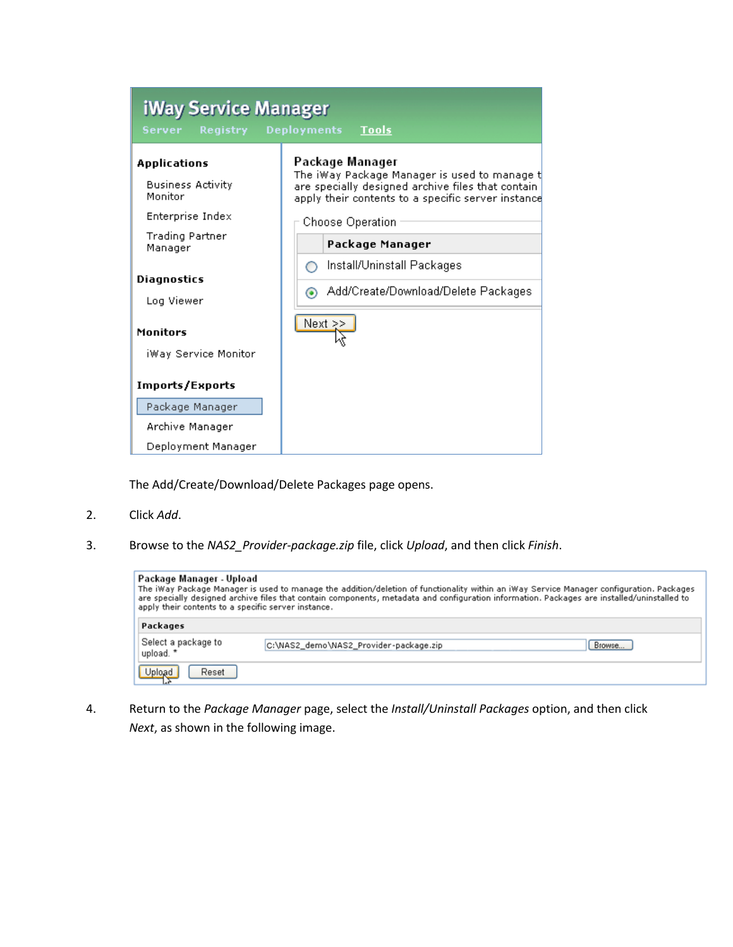| iWay Service Manager                                                    |                                                                                                                                                                             |  |  |  |
|-------------------------------------------------------------------------|-----------------------------------------------------------------------------------------------------------------------------------------------------------------------------|--|--|--|
| Server<br><b>Registry</b>                                               | <b>Tools</b><br><b>Deployments</b>                                                                                                                                          |  |  |  |
| Applications<br><b>Business Activity</b><br>Monitor<br>Enterprise Index | Package Manager<br>The iWay Package Manager is used to manage t<br>are specially designed archive files that contain.<br>apply their contents to a specific server instance |  |  |  |
| Trading Partner<br>Manager                                              | Choose Operation<br>Package Manager                                                                                                                                         |  |  |  |
| Diagnostics<br>Log Viewer                                               | Install/Uninstall Packages<br>Add/Create/Download/Delete Packages<br>◉                                                                                                      |  |  |  |
| Monitors<br>iWay Service Monitor                                        | Next $\geq$                                                                                                                                                                 |  |  |  |
| Imports/Exports<br>Package Manager<br>Archive Manager                   |                                                                                                                                                                             |  |  |  |
| Deployment Manager                                                      |                                                                                                                                                                             |  |  |  |

The Add/Create/Download/Delete Packages page opens.

- 2. Click *Add*.
- 3. Browse to the *NAS2\_Provider-package.zip* file, click *Upload*, and then click *Finish*.

| Package Manager - Upload<br>The iWay Package Manager is used to manage the addition/deletion of functionality within an iWay Service Manager configuration. Packages<br>are specially designed archive files that contain components, metadata and configuration information. Packages are installed/uninstalled to<br>apply their contents to a specific server instance. |                                                  |  |  |  |
|----------------------------------------------------------------------------------------------------------------------------------------------------------------------------------------------------------------------------------------------------------------------------------------------------------------------------------------------------------------------------|--------------------------------------------------|--|--|--|
| Packages                                                                                                                                                                                                                                                                                                                                                                   |                                                  |  |  |  |
| Select a package to<br>upload. *                                                                                                                                                                                                                                                                                                                                           | C:\NAS2_demo\NAS2_Provider-package.zip<br>Browse |  |  |  |
| Upload<br>Reset                                                                                                                                                                                                                                                                                                                                                            |                                                  |  |  |  |

4. Return to the *Package Manager* page, select the *Install/Uninstall Packages* option, and then click *Next*, as shown in the following image.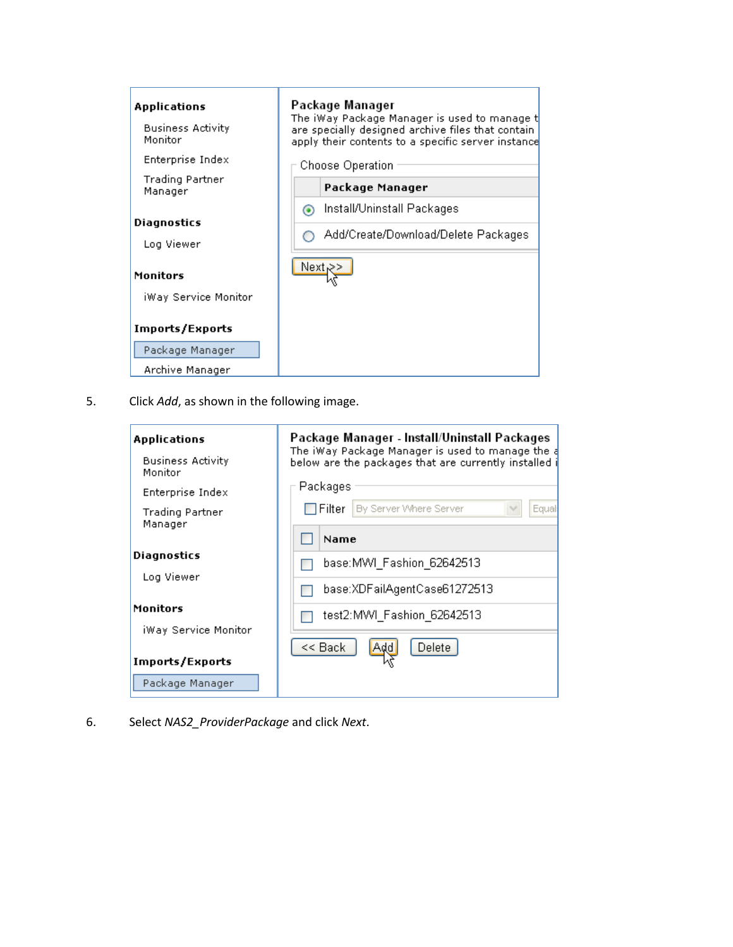| Applications<br><b>Business Activity</b><br>Monitor<br>Enterprise Index | Package Manager<br>The iWay Package Manager is used to manage t<br>are specially designed archive files that contain-<br>apply their contents to a specific server instance<br>Choose Operation |  |  |
|-------------------------------------------------------------------------|-------------------------------------------------------------------------------------------------------------------------------------------------------------------------------------------------|--|--|
| Trading Partner<br>Manager                                              | Package Manager                                                                                                                                                                                 |  |  |
| Diagnostics<br>Log Viewer<br><b>Monitors</b>                            | Install/Uninstall Packages<br>$\odot$<br>Add/Create/Download/Delete Packages<br>Next                                                                                                            |  |  |
| iWay Service Monitor<br>Imports/Exports                                 |                                                                                                                                                                                                 |  |  |
| Package Manager                                                         |                                                                                                                                                                                                 |  |  |
| Archive Manager                                                         |                                                                                                                                                                                                 |  |  |

5. Click *Add*, as shown in the following image.

| Applications                        | Package Manager - Install/Uninstall Packages<br>The iWay Package Manager is used to manage the a |  |  |  |  |  |
|-------------------------------------|--------------------------------------------------------------------------------------------------|--|--|--|--|--|
| <b>Business Activity</b><br>Monitor | below are the packages that are currently installed i                                            |  |  |  |  |  |
| Enterprise Index                    | Packages                                                                                         |  |  |  |  |  |
| Trading Partner<br>Manager          | Filter I By Server Where Server<br>Equal                                                         |  |  |  |  |  |
|                                     | Name                                                                                             |  |  |  |  |  |
| Diagnostics<br>Log Viewer           | base: MWI Fashion 62642513                                                                       |  |  |  |  |  |
|                                     | base:XDFailAgentCase61272513                                                                     |  |  |  |  |  |
| Monitors                            | test2:MWI Fashion 62642513                                                                       |  |  |  |  |  |
| iWay Service Monitor                |                                                                                                  |  |  |  |  |  |
| <b>Imports/Exports</b>              | << Back<br>Delete                                                                                |  |  |  |  |  |
|                                     |                                                                                                  |  |  |  |  |  |
| Package Manager                     |                                                                                                  |  |  |  |  |  |

6. Select *NAS2\_ProviderPackage* and click *Next*.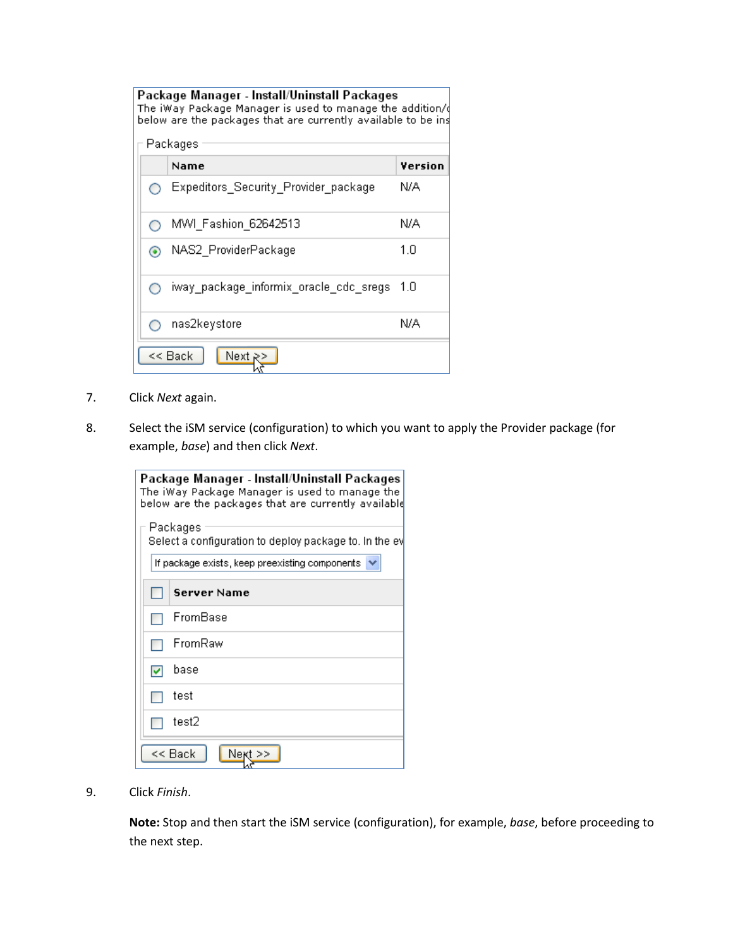| Package Manager - Install/Uninstall Packages<br>The iWay Package Manager is used to manage the addition/ $\phi$<br>below are the packages that are currently available to be ins |  |                                        |         |
|----------------------------------------------------------------------------------------------------------------------------------------------------------------------------------|--|----------------------------------------|---------|
|                                                                                                                                                                                  |  | Packages                               |         |
|                                                                                                                                                                                  |  | Name                                   | Version |
|                                                                                                                                                                                  |  | Expeditors_Security_Provider_package   | N/A     |
|                                                                                                                                                                                  |  | MWI Fashion 62642513                   | N/A     |
|                                                                                                                                                                                  |  | NAS2_ProviderPackage                   | 1.0     |
|                                                                                                                                                                                  |  | iway package informix oracle cdc sregs | 1.0     |
|                                                                                                                                                                                  |  | nas2keγstore                           | N/A     |
|                                                                                                                                                                                  |  | << Back<br>Next R                      |         |

- 7. Click *Next* again.
- 8. Select the iSM service (configuration) to which you want to apply the Provider package (for example, *base*) and then click *Next*.

| Package Manager - Install/Uninstall Packages<br>The iWay Package Manager is used to manage the<br>below are the packages that are currently available |  |  |  |
|-------------------------------------------------------------------------------------------------------------------------------------------------------|--|--|--|
| Packages<br>Select a configuration to deploy package to. In the ev                                                                                    |  |  |  |
| If package exists, keep preexisting components.                                                                                                       |  |  |  |
| Server Name                                                                                                                                           |  |  |  |
| FromBase                                                                                                                                              |  |  |  |
| FromRaw                                                                                                                                               |  |  |  |
| base                                                                                                                                                  |  |  |  |
| test                                                                                                                                                  |  |  |  |
| test2                                                                                                                                                 |  |  |  |
| << Back<br>Next                                                                                                                                       |  |  |  |

9. Click *Finish*.

**Note:** Stop and then start the iSM service (configuration), for example, *base*, before proceeding to the next step.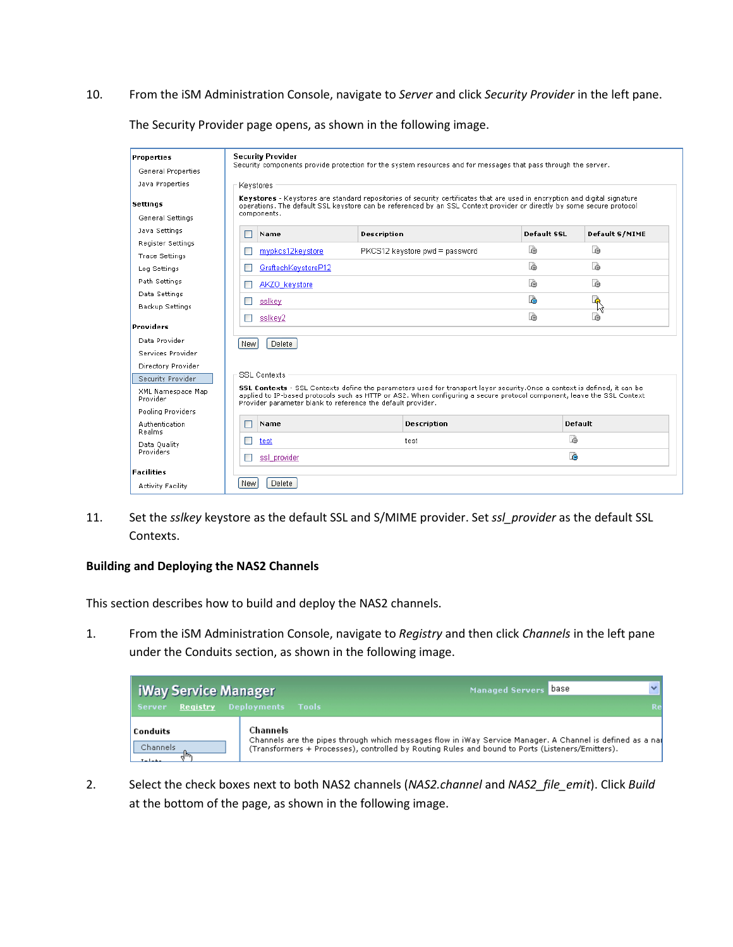10. From the iSM Administration Console, navigate to *Server* and click *Security Provider* in the left pane.

The Security Provider page opens, as shown in the following image.

| <b>Properties</b>             | <b>Security Provider</b>                                                                                                                                                                                                                                                                                                  |                                |             |                |  |  |
|-------------------------------|---------------------------------------------------------------------------------------------------------------------------------------------------------------------------------------------------------------------------------------------------------------------------------------------------------------------------|--------------------------------|-------------|----------------|--|--|
| General Properties            | Security components provide protection for the system resources and for messages that pass through the server.                                                                                                                                                                                                            |                                |             |                |  |  |
| Java Properties               | Keystores                                                                                                                                                                                                                                                                                                                 |                                |             |                |  |  |
| <b>Settings</b>               | Keystores - Keystores are standard repositories of security certificates that are used in encryption and digital signature<br>operations. The default SSL keystore can be referenced by an SSL Context provider or directly by some secure protocol                                                                       |                                |             |                |  |  |
| General Settings              | components.                                                                                                                                                                                                                                                                                                               |                                |             |                |  |  |
| Java Settings                 | Name<br>ш                                                                                                                                                                                                                                                                                                                 | <b>Description</b>             | Default SSL | Default S/MIME |  |  |
| Register Settings             |                                                                                                                                                                                                                                                                                                                           |                                | è           | t.             |  |  |
| <b>Trace Settings</b>         | mypkcs12keystore<br>П                                                                                                                                                                                                                                                                                                     | PKCS12 keystore pwd = password |             |                |  |  |
| Log Settings                  | GraftechKeystoreP12<br>п                                                                                                                                                                                                                                                                                                  |                                | è           | à              |  |  |
| Path Settings                 | AKZO keystore<br>m                                                                                                                                                                                                                                                                                                        |                                | r.          | d              |  |  |
| Data Settings                 | ssikev<br>■                                                                                                                                                                                                                                                                                                               |                                | ħ           | r.             |  |  |
| Backup Settings               |                                                                                                                                                                                                                                                                                                                           |                                |             | ۲ę             |  |  |
| <b>Providers</b>              | ssikey2<br>ш                                                                                                                                                                                                                                                                                                              |                                | r.          | è              |  |  |
| Data Provider                 | Delete<br><b>New</b>                                                                                                                                                                                                                                                                                                      |                                |             |                |  |  |
| Services Provider             |                                                                                                                                                                                                                                                                                                                           |                                |             |                |  |  |
| Directory Provider            |                                                                                                                                                                                                                                                                                                                           |                                |             |                |  |  |
| Security Provider             | <b>SSL Contexts</b>                                                                                                                                                                                                                                                                                                       |                                |             |                |  |  |
| XML Namespace Map<br>Provider | <b>SSL Contexts</b> - SSL Contexts define the parameters used for transport layer security. Once a context is defined, it can be<br>applied to IP-based protocols such as HTTP or AS2. When configuring a secure protocol component, leave the SSL Context<br>Provider parameter blank to reference the default provider. |                                |             |                |  |  |
| Pooling Providers             |                                                                                                                                                                                                                                                                                                                           |                                |             |                |  |  |
| Authentication<br>Realms      | Name<br>П                                                                                                                                                                                                                                                                                                                 | <b>Description</b>             |             | <b>Default</b> |  |  |
| Data Quality                  | test<br>П<br>test                                                                                                                                                                                                                                                                                                         |                                |             | fà             |  |  |
| <b>Providers</b>              | ssl provider<br><b>The State</b>                                                                                                                                                                                                                                                                                          |                                | Ŀò          |                |  |  |
| <b>Facilities</b>             |                                                                                                                                                                                                                                                                                                                           |                                |             |                |  |  |
| Activity Facility             | Delete<br><b>New</b>                                                                                                                                                                                                                                                                                                      |                                |             |                |  |  |

11. Set the *sslkey* keystore as the default SSL and S/MIME provider. Set *ssl\_provider* as the default SSL Contexts.

#### **Building and Deploying the NAS2 Channels**

This section describes how to build and deploy the NAS2 channels.

1. From the iSM Administration Console, navigate to *Registry* and then click *Channels* in the left pane under the Conduits section, as shown in the following image.

| iWay Service Manager<br><b>Registry Deployments</b><br><b>Server</b> | <b>Tools</b>                                                                                                                                                                                                              | Managed Servers Dase | Re |
|----------------------------------------------------------------------|---------------------------------------------------------------------------------------------------------------------------------------------------------------------------------------------------------------------------|----------------------|----|
| <b>Conduits</b><br>Channels                                          | Channels<br>Channels are the pipes through which messages flow in iWay Service Manager. A Channel is defined as a nal<br>(Transformers + Processes), controlled by Routing Rules and bound to Ports (Listeners/Emitters). |                      |    |

2. Select the check boxes next to both NAS2 channels (*NAS2.channel* and *NAS2\_file\_emit*). Click *Build* at the bottom of the page, as shown in the following image.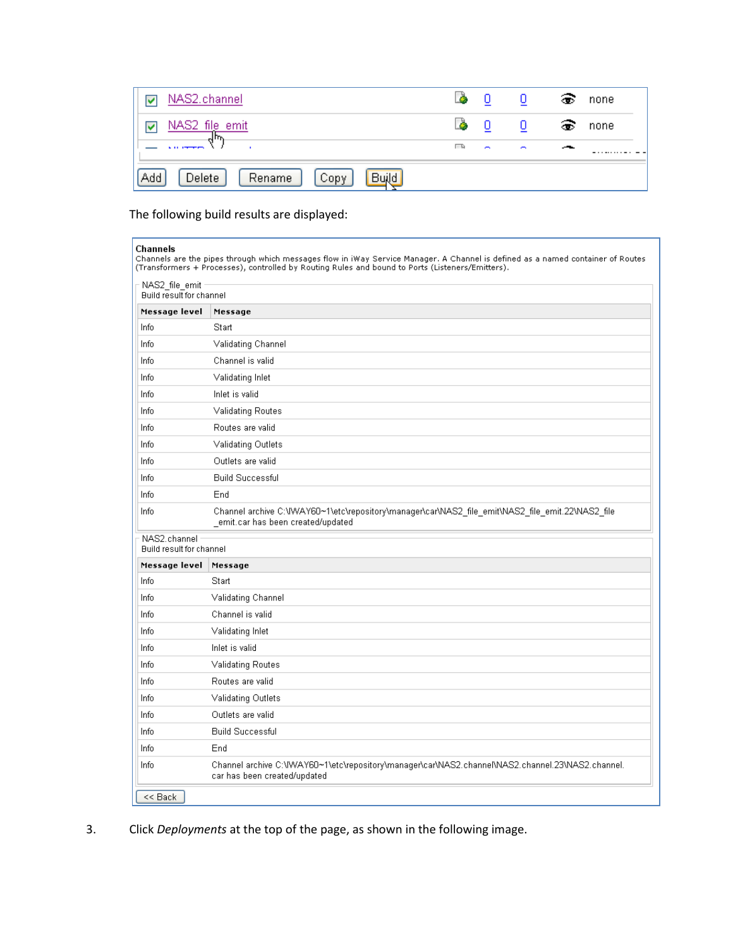| NAS2.channel                             | ò         |        |        | ຣ | none |
|------------------------------------------|-----------|--------|--------|---|------|
| NAS2 file emit                           | $\bullet$ | 0      | 0      | ෛ | none |
|                                          | 巨旗        | $\sim$ | $\sim$ |   |      |
| Add<br>Build<br>Delete<br>Rename<br>Copy |           |        |        |   |      |

The following build results are displayed:

#### Channels

onannels<br>Channels are the pipes through which messages flow in iWay Service Manager. A Channel is defined as a named container of Routes<br>(Transformers + Processes), controlled by Routing Rules and bound to Ports (Listeners

| NAS2_file_emit<br>Build result for channel |                                                                                                                                        |
|--------------------------------------------|----------------------------------------------------------------------------------------------------------------------------------------|
| Message level                              | Message                                                                                                                                |
| Info                                       | Start                                                                                                                                  |
| Info                                       | Validating Channel                                                                                                                     |
| Info                                       | Channel is valid                                                                                                                       |
| Info                                       | Validating Inlet                                                                                                                       |
| Info                                       | Inlet is valid                                                                                                                         |
| Info                                       | <b>Validating Routes</b>                                                                                                               |
| Info                                       | Routes are valid                                                                                                                       |
| Info                                       | Validating Outlets                                                                                                                     |
| Info                                       | Outlets are valid                                                                                                                      |
| Info                                       | <b>Build Successful</b>                                                                                                                |
| Info                                       | End                                                                                                                                    |
| Info                                       | Channel archive C:\IWAY60~1\etc\repository\manager\car\NAS2_file_emit\NAS2_file_emit.22\NAS2_file<br>emit.car has been created/updated |
| NAS2.channel<br>Build result for channel   |                                                                                                                                        |
| Message level                              | Message                                                                                                                                |
| Info                                       | Start                                                                                                                                  |
| Info                                       | Validating Channel                                                                                                                     |
| Info                                       | Channel is valid                                                                                                                       |
| Info                                       | Validating Inlet                                                                                                                       |
| Info                                       | Inlet is valid                                                                                                                         |
| Info                                       | <b>Validating Routes</b>                                                                                                               |
| Info                                       | Routes are valid                                                                                                                       |
| Info                                       | Validating Outlets                                                                                                                     |
| Info                                       | Outlets are valid                                                                                                                      |
| Info                                       | <b>Build Successful</b>                                                                                                                |
| Info                                       | End                                                                                                                                    |
| Info                                       | Channel archive C:\IWAY60~1\etc\repository\manager\car\NAS2.channel\NAS2.channel.23\NAS2.channel.<br>car has been created/updated      |
| << Back                                    |                                                                                                                                        |

3. Click *Deployments* at the top of the page, as shown in the following image.